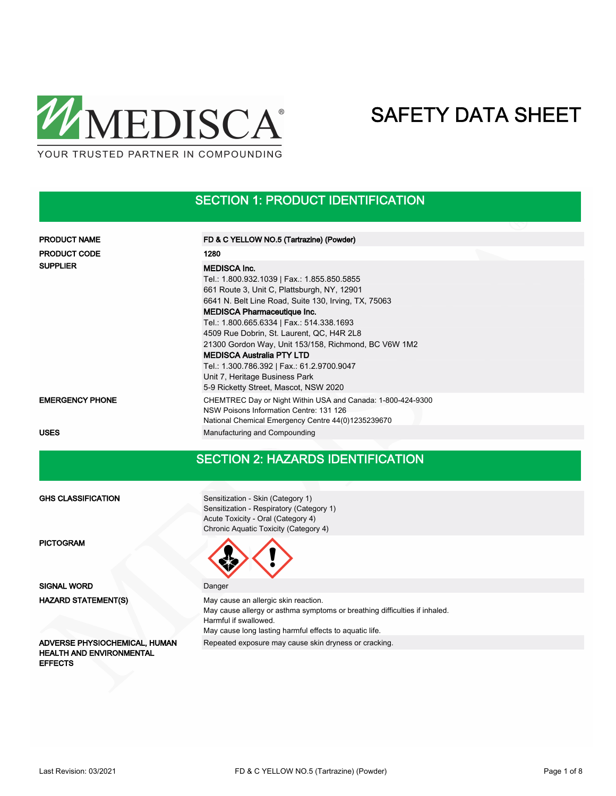

## SECTION 1: PRODUCT IDENTIFICATION

| <b>PRODUCT NAME</b>    | FD & C YELLOW NO.5 (Tartrazine) (Powder)                                                                                                                                                                                                                                                                                                                                                                                                                                              |
|------------------------|---------------------------------------------------------------------------------------------------------------------------------------------------------------------------------------------------------------------------------------------------------------------------------------------------------------------------------------------------------------------------------------------------------------------------------------------------------------------------------------|
| <b>PRODUCT CODE</b>    | 1280                                                                                                                                                                                                                                                                                                                                                                                                                                                                                  |
| <b>SUPPLIER</b>        | <b>MEDISCA Inc.</b><br>Tel.: 1.800.932.1039   Fax.: 1.855.850.5855<br>661 Route 3, Unit C, Plattsburgh, NY, 12901<br>6641 N. Belt Line Road, Suite 130, Irving, TX, 75063<br><b>MEDISCA Pharmaceutique Inc.</b><br>Tel.: 1.800.665.6334   Fax.: 514.338.1693<br>4509 Rue Dobrin, St. Laurent, QC, H4R 2L8<br>21300 Gordon Way, Unit 153/158, Richmond, BC V6W 1M2<br><b>MEDISCA Australia PTY LTD</b><br>Tel.: 1.300.786.392   Fax.: 61.2.9700.9047<br>Unit 7, Heritage Business Park |
| <b>EMERGENCY PHONE</b> | 5-9 Ricketty Street, Mascot, NSW 2020<br>CHEMTREC Day or Night Within USA and Canada: 1-800-424-9300<br>NSW Poisons Information Centre: 131 126<br>National Chemical Emergency Centre 44(0)1235239670                                                                                                                                                                                                                                                                                 |
| <b>USES</b>            | Manufacturing and Compounding                                                                                                                                                                                                                                                                                                                                                                                                                                                         |

### SECTION 2: HAZARDS IDENTIFICATION

GHS CLASSIFICATION

PICTOGRAM

SIGNAL WORD Danger HAZARD STATEMENT(S)

HEALTH AND ENVIRONMENTAL **EFFECTS** 

Sensitization - Skin (Category 1) Sensitization - Respiratory (Category 1) Acute Toxicity - Oral (Category 4) Chronic Aquatic Toxicity (Category 4)



May cause an allergic skin reaction. May cause allergy or asthma symptoms or breathing difficulties if inhaled. Harmful if swallowed. May cause long lasting harmful effects to aquatic life. ADVERSE PHYSIOCHEMICAL, HUMAN Repeated exposure may cause skin dryness or cracking.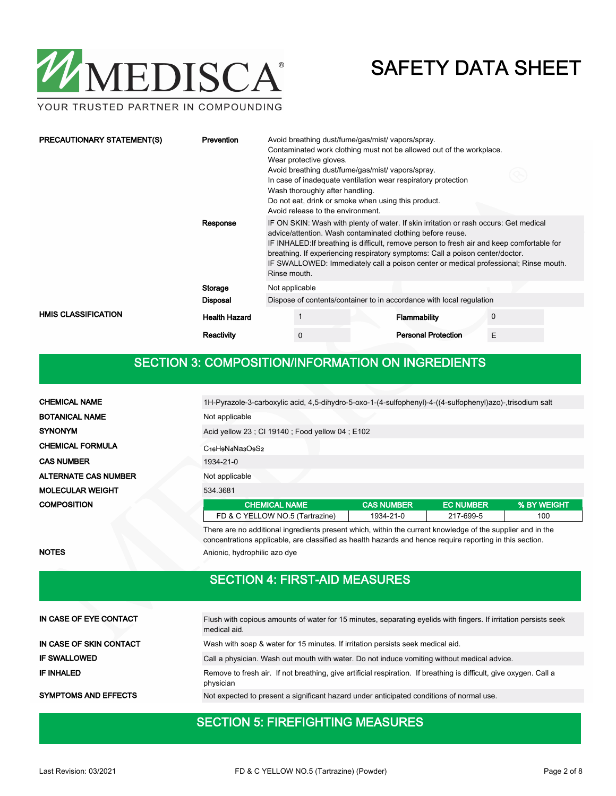

YOUR TRUSTED PARTNER IN COMPOUNDING

| PRECAUTIONARY STATEMENT(S) | <b>Prevention</b>    | Avoid breathing dust/fume/gas/mist/ vapors/spray.<br>Contaminated work clothing must not be allowed out of the workplace.<br>Wear protective gloves.<br>Avoid breathing dust/fume/gas/mist/ vapors/spray.<br>In case of inadequate ventilation wear respiratory protection<br>Wash thoroughly after handling.<br>Do not eat, drink or smoke when using this product.<br>Avoid release to the environment.                                  |                                                                      |                            |   |  |  |
|----------------------------|----------------------|--------------------------------------------------------------------------------------------------------------------------------------------------------------------------------------------------------------------------------------------------------------------------------------------------------------------------------------------------------------------------------------------------------------------------------------------|----------------------------------------------------------------------|----------------------------|---|--|--|
|                            | Response             | IF ON SKIN: Wash with plenty of water. If skin irritation or rash occurs: Get medical<br>advice/attention. Wash contaminated clothing before reuse.<br>IF INHALED: If breathing is difficult, remove person to fresh air and keep comfortable for<br>breathing. If experiencing respiratory symptoms: Call a poison center/doctor.<br>IF SWALLOWED: Immediately call a poison center or medical professional; Rinse mouth.<br>Rinse mouth. |                                                                      |                            |   |  |  |
|                            | Storage              | Not applicable                                                                                                                                                                                                                                                                                                                                                                                                                             |                                                                      |                            |   |  |  |
|                            | <b>Disposal</b>      |                                                                                                                                                                                                                                                                                                                                                                                                                                            | Dispose of contents/container to in accordance with local regulation |                            |   |  |  |
| <b>HMIS CLASSIFICATION</b> | <b>Health Hazard</b> |                                                                                                                                                                                                                                                                                                                                                                                                                                            |                                                                      | Flammability               | 0 |  |  |
|                            | <b>Reactivity</b>    |                                                                                                                                                                                                                                                                                                                                                                                                                                            | 0                                                                    | <b>Personal Protection</b> | E |  |  |

## SECTION 3: COMPOSITION/INFORMATION ON INGREDIENTS

| <b>CHEMICAL NAME</b>                                                                                       | 1H-Pyrazole-3-carboxylic acid, 4,5-dihydro-5-oxo-1-(4-sulfophenyl)-4-((4-sulfophenyl)azo)-,trisodium salt |                   |                  |             |  |  |  |  |
|------------------------------------------------------------------------------------------------------------|-----------------------------------------------------------------------------------------------------------|-------------------|------------------|-------------|--|--|--|--|
| <b>BOTANICAL NAME</b>                                                                                      | Not applicable                                                                                            |                   |                  |             |  |  |  |  |
| <b>SYNONYM</b>                                                                                             | Acid yellow 23; CI 19140; Food yellow 04; E102                                                            |                   |                  |             |  |  |  |  |
| <b>CHEMICAL FORMULA</b>                                                                                    | C <sub>16</sub> H <sub>9</sub> N <sub>4</sub> Na <sub>3</sub> O <sub>9</sub> S <sub>2</sub>               |                   |                  |             |  |  |  |  |
| <b>CAS NUMBER</b>                                                                                          | 1934-21-0                                                                                                 |                   |                  |             |  |  |  |  |
| <b>ALTERNATE CAS NUMBER</b>                                                                                | Not applicable                                                                                            |                   |                  |             |  |  |  |  |
| <b>MOLECULAR WEIGHT</b>                                                                                    | 534.3681                                                                                                  |                   |                  |             |  |  |  |  |
| <b>COMPOSITION</b>                                                                                         | <b>CHEMICAL NAME</b>                                                                                      | <b>CAS NUMBER</b> | <b>EC NUMBER</b> | % BY WEIGHT |  |  |  |  |
|                                                                                                            | FD & C YELLOW NO.5 (Tartrazine)                                                                           | 1934-21-0         | 217-699-5        | 100         |  |  |  |  |
| There are no additional ingredients present which, within the current knowledge of the supplier and in the |                                                                                                           |                   |                  |             |  |  |  |  |

concentrations applicable, are classified as health hazards and hence require reporting in this section. NOTES Anionic, hydrophilic azo dye

## SECTION 4: FIRST-AID MEASURES

| IN CASE OF EYE CONTACT      | Flush with copious amounts of water for 15 minutes, separating eyelids with fingers. If irritation persists seek<br>medical aid. |
|-----------------------------|----------------------------------------------------------------------------------------------------------------------------------|
| IN CASE OF SKIN CONTACT     | Wash with soap & water for 15 minutes. If irritation persists seek medical aid.                                                  |
| <b>IF SWALLOWED</b>         | Call a physician. Wash out mouth with water. Do not induce vomiting without medical advice.                                      |
| IF INHALED                  | Remove to fresh air. If not breathing, give artificial respiration. If breathing is difficult, give oxygen. Call a<br>physician  |
| <b>SYMPTOMS AND EFFECTS</b> | Not expected to present a significant hazard under anticipated conditions of normal use.                                         |

## SECTION 5: FIREFIGHTING MEASURES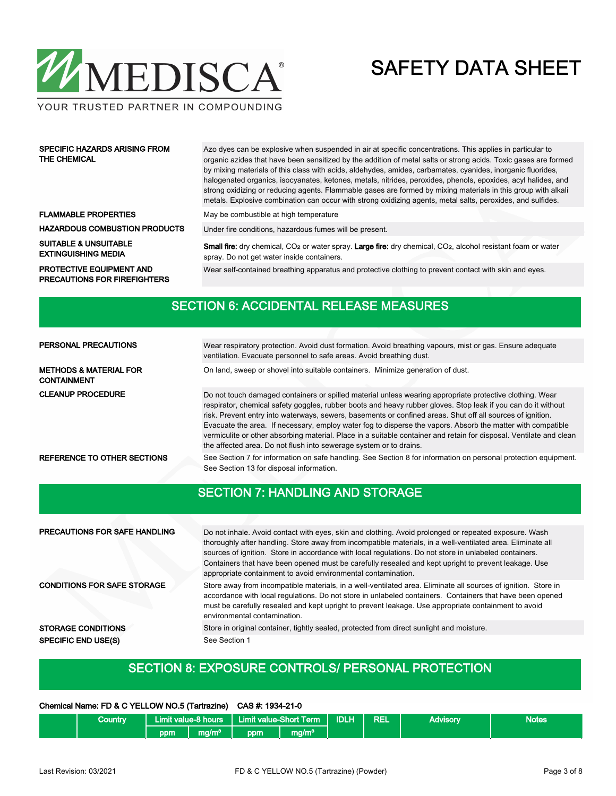

YOUR TRUSTED PARTNER IN COMPOUNDING

| <b>SPECIFIC HAZARDS ARISING FROM</b><br>THE CHEMICAL                   | Azo dyes can be explosive when suspended in air at specific concentrations. This applies in particular to<br>organic azides that have been sensitized by the addition of metal salts or strong acids. Toxic gases are formed<br>by mixing materials of this class with acids, aldehydes, amides, carbamates, cyanides, inorganic fluorides,<br>halogenated organics, isocyanates, ketones, metals, nitrides, peroxides, phenols, epoxides, acyl halides, and<br>strong oxidizing or reducing agents. Flammable gases are formed by mixing materials in this group with alkali<br>metals. Explosive combination can occur with strong oxidizing agents, metal salts, peroxides, and sulfides. |  |  |  |  |
|------------------------------------------------------------------------|----------------------------------------------------------------------------------------------------------------------------------------------------------------------------------------------------------------------------------------------------------------------------------------------------------------------------------------------------------------------------------------------------------------------------------------------------------------------------------------------------------------------------------------------------------------------------------------------------------------------------------------------------------------------------------------------|--|--|--|--|
| <b>FLAMMABLE PROPERTIES</b>                                            | May be combustible at high temperature                                                                                                                                                                                                                                                                                                                                                                                                                                                                                                                                                                                                                                                       |  |  |  |  |
| <b>HAZARDOUS COMBUSTION PRODUCTS</b>                                   | Under fire conditions, hazardous fumes will be present.                                                                                                                                                                                                                                                                                                                                                                                                                                                                                                                                                                                                                                      |  |  |  |  |
| <b>SUITABLE &amp; UNSUITABLE</b><br><b>EXTINGUISHING MEDIA</b>         | <b>Small fire:</b> dry chemical, CO <sub>2</sub> or water spray. Large fire: dry chemical, CO <sub>2</sub> , alcohol resistant foam or water<br>spray. Do not get water inside containers.                                                                                                                                                                                                                                                                                                                                                                                                                                                                                                   |  |  |  |  |
| <b>PROTECTIVE EQUIPMENT AND</b><br><b>PRECAUTIONS FOR FIREFIGHTERS</b> | Wear self-contained breathing apparatus and protective clothing to prevent contact with skin and eyes.                                                                                                                                                                                                                                                                                                                                                                                                                                                                                                                                                                                       |  |  |  |  |

|                                                         | <b>SECTION 6: ACCIDENTAL RELEASE MEASURES</b>                                                                                                                                                                                                                                                                                                                                                                                                                                                                                                                                                                                                       |
|---------------------------------------------------------|-----------------------------------------------------------------------------------------------------------------------------------------------------------------------------------------------------------------------------------------------------------------------------------------------------------------------------------------------------------------------------------------------------------------------------------------------------------------------------------------------------------------------------------------------------------------------------------------------------------------------------------------------------|
|                                                         |                                                                                                                                                                                                                                                                                                                                                                                                                                                                                                                                                                                                                                                     |
| PERSONAL PRECAUTIONS                                    | Wear respiratory protection. Avoid dust formation. Avoid breathing vapours, mist or gas. Ensure adequate<br>ventilation. Evacuate personnel to safe areas. Avoid breathing dust.                                                                                                                                                                                                                                                                                                                                                                                                                                                                    |
| <b>METHODS &amp; MATERIAL FOR</b><br><b>CONTAINMENT</b> | On land, sweep or shovel into suitable containers. Minimize generation of dust.                                                                                                                                                                                                                                                                                                                                                                                                                                                                                                                                                                     |
| <b>CLEANUP PROCEDURE</b>                                | Do not touch damaged containers or spilled material unless wearing appropriate protective clothing. Wear<br>respirator, chemical safety goggles, rubber boots and heavy rubber gloves. Stop leak if you can do it without<br>risk. Prevent entry into waterways, sewers, basements or confined areas. Shut off all sources of ignition.<br>Evacuate the area. If necessary, employ water fog to disperse the vapors. Absorb the matter with compatible<br>vermiculite or other absorbing material. Place in a suitable container and retain for disposal. Ventilate and clean<br>the affected area. Do not flush into sewerage system or to drains. |
| <b>REFERENCE TO OTHER SECTIONS</b>                      | See Section 7 for information on safe handling. See Section 8 for information on personal protection equipment.<br>See Section 13 for disposal information.                                                                                                                                                                                                                                                                                                                                                                                                                                                                                         |
|                                                         | <b>SECTION 7: HANDLING AND STORAGE</b>                                                                                                                                                                                                                                                                                                                                                                                                                                                                                                                                                                                                              |
| PRECAUTIONS FOR SAFE HANDLING                           | Do not inhale. Avoid contact with eyes, skin and clothing. Avoid prolonged or repeated exposure. Wash<br>thoroughly after handling. Store away from incompatible materials, in a well-ventilated area. Eliminate all<br>sources of ignition. Store in accordance with local regulations. Do not store in unlabeled containers.<br>Containers that have been opened must be carefully resealed and kept upright to prevent leakage. Use<br>appropriate containment to avoid environmental contamination.                                                                                                                                             |
| <b>CONDITIONS FOR SAFE STORAGE</b>                      | Store away from incompatible materials, in a well-ventilated area. Eliminate all sources of ignition. Store in                                                                                                                                                                                                                                                                                                                                                                                                                                                                                                                                      |

accordance with local regulations. Do not store in unlabeled containers. Containers that have been opened must be carefully resealed and kept upright to prevent leakage. Use appropriate containment to avoid environmental contamination. STORAGE CONDITIONS Store in original container, tightly sealed, protected from direct sunlight and moisture.

SPECIFIC END USE(S) See Section 1

### SECTION 8: EXPOSURE CONTROLS/ PERSONAL PROTECTION

| Chemical Name: FD & C YELLOW NO.5 (Tartrazine) CAS #: 1934-21-0 |         |     |                   |                                            |                   |             |            |          |              |
|-----------------------------------------------------------------|---------|-----|-------------------|--------------------------------------------|-------------------|-------------|------------|----------|--------------|
|                                                                 | Countrv |     |                   | Limit value-8 hours Limit value-Short Term |                   | <b>IDLH</b> | <b>REL</b> | Advisory | <b>Notes</b> |
|                                                                 |         | ppm | mq/m <sup>3</sup> | ppm'                                       | mg/m <sup>3</sup> |             |            |          |              |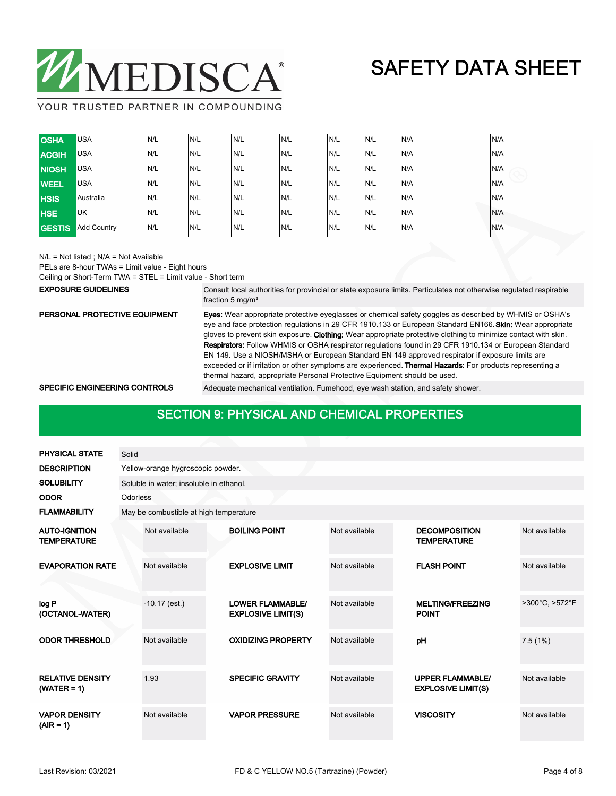

YOUR TRUSTED PARTNER IN COMPOUNDING

| <b>OSHA</b>   | <b>USA</b>         | N/L | N/L | IN/L | N/L | IN/L | N/L | N/A | N/A  |
|---------------|--------------------|-----|-----|------|-----|------|-----|-----|------|
| <b>ACGIH</b>  | <b>USA</b>         | N/L | N/L | N/L  | N/L | N/L  | N/L | N/A | N/A  |
| <b>NIOSH</b>  | <b>USA</b>         | N/L | N/L | N/L  | N/L | N/L  | N/L | N/A | IN/A |
| <b>WEEL</b>   | <b>USA</b>         | N/L | N/L | N/L  | N/L | IN/L | N/L | N/A | N/A  |
| <b>HSIS</b>   | Australia          | N/L | N/L | N/L  | N/L | N/L  | N/L | N/A | N/A  |
| <b>HSE</b>    | <b>UK</b>          | N/L | N/L | N/L  | N/L | N/L  | N/L | N/A | N/A  |
| <b>GESTIS</b> | <b>Add Country</b> | N/L | N/L | N/L  | N/L | IN/L | N/L | N/A | IN/A |

N/L = Not listed ; N/A = Not Available

PELs are 8-hour TWAs = Limit value - Eight hours

Ceiling or Short-Term TWA = STEL = Limit value - Short term

### EXPOSURE GUIDELINES

Consult local authorities for provincial or state exposure limits. Particulates not otherwise regulated respirable fraction 5 mg/m<sup>3</sup>

### PERSONAL PROTECTIVE EQUIPMENT

Eyes: Wear appropriate protective eyeglasses or chemical safety goggles as described by WHMIS or OSHA's eye and face protection regulations in 29 CFR 1910.133 or European Standard EN166. Skin: Wear appropriate gloves to prevent skin exposure. Clothing: Wear appropriate protective clothing to minimize contact with skin. Respirators: Follow WHMIS or OSHA respirator regulations found in 29 CFR 1910.134 or European Standard EN 149. Use a NIOSH/MSHA or European Standard EN 149 approved respirator if exposure limits are exceeded or if irritation or other symptoms are experienced. Thermal Hazards: For products representing a thermal hazard, appropriate Personal Protective Equipment should be used.

SPECIFIC ENGINEERING CONTROLS Adequate mechanical ventilation. Fumehood, eye wash station, and safety shower.

## **SECTION 9: PHYSICAL AND CHEMICAL PROPERTIES**

| <b>PHYSICAL STATE</b>                      | Solid    |                                         |  |                                                      |               |  |                                                      |                |  |  |  |
|--------------------------------------------|----------|-----------------------------------------|--|------------------------------------------------------|---------------|--|------------------------------------------------------|----------------|--|--|--|
| <b>DESCRIPTION</b>                         |          | Yellow-orange hygroscopic powder.       |  |                                                      |               |  |                                                      |                |  |  |  |
| <b>SOLUBILITY</b>                          |          | Soluble in water; insoluble in ethanol. |  |                                                      |               |  |                                                      |                |  |  |  |
| <b>ODOR</b>                                | Odorless |                                         |  |                                                      |               |  |                                                      |                |  |  |  |
| <b>FLAMMABILITY</b>                        |          | May be combustible at high temperature  |  |                                                      |               |  |                                                      |                |  |  |  |
| <b>AUTO-IGNITION</b><br><b>TEMPERATURE</b> |          | Not available                           |  | <b>BOILING POINT</b>                                 | Not available |  | <b>DECOMPOSITION</b><br><b>TEMPERATURE</b>           | Not available  |  |  |  |
| <b>EVAPORATION RATE</b>                    |          | Not available                           |  | <b>EXPLOSIVE LIMIT</b>                               | Not available |  | <b>FLASH POINT</b>                                   | Not available  |  |  |  |
| log P<br>(OCTANOL-WATER)                   |          | $-10.17$ (est.)                         |  | <b>LOWER FLAMMABLE/</b><br><b>EXPLOSIVE LIMIT(S)</b> | Not available |  | <b>MELTING/FREEZING</b><br><b>POINT</b>              | >300°C, >572°F |  |  |  |
| <b>ODOR THRESHOLD</b>                      |          | Not available                           |  | <b>OXIDIZING PROPERTY</b>                            | Not available |  | pH                                                   | 7.5(1%)        |  |  |  |
| <b>RELATIVE DENSITY</b><br>$(WATER = 1)$   |          | 1.93                                    |  | <b>SPECIFIC GRAVITY</b>                              | Not available |  | <b>UPPER FLAMMABLE/</b><br><b>EXPLOSIVE LIMIT(S)</b> | Not available  |  |  |  |
| <b>VAPOR DENSITY</b><br>$(AIR = 1)$        |          | Not available                           |  | <b>VAPOR PRESSURE</b>                                | Not available |  | <b>VISCOSITY</b>                                     | Not available  |  |  |  |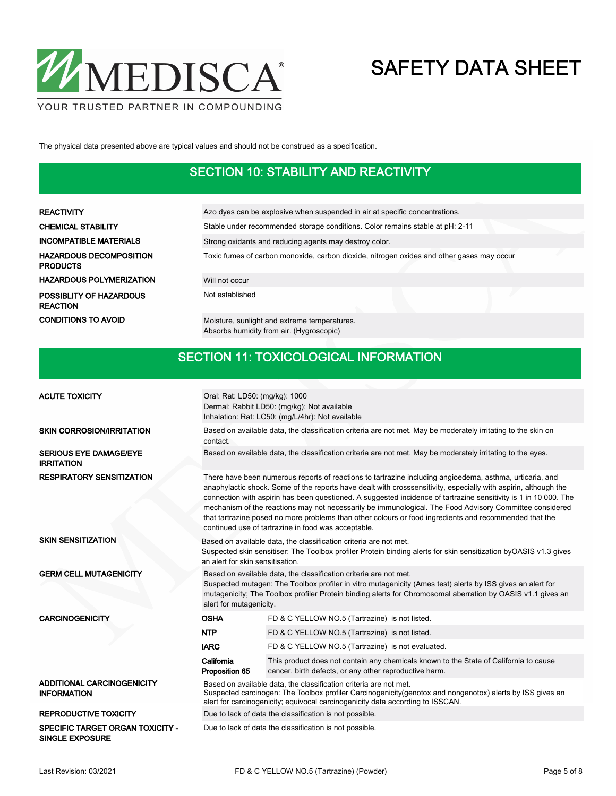

The physical data presented above are typical values and should not be construed as a specification.

### SECTION 10: STABILITY AND REACTIVITY

| REACTIVITY                          | Azo dyes can be explosive when suspended in air at specific concentrations.               |
|-------------------------------------|-------------------------------------------------------------------------------------------|
| CHEMICAL STABILITY                  | Stable under recommended storage conditions. Color remains stable at pH: 2-11             |
| INCOMPATIBLE MATERIALS              | Strong oxidants and reducing agents may destroy color.                                    |
| HAZARDOUS DECOMPOSITION<br>PRODUCTS | Toxic fumes of carbon monoxide, carbon dioxide, nitrogen oxides and other gases may occur |
| HAZARDOUS POLYMERIZATION            | Will not occur                                                                            |
| POSSIBLITY OF HAZARDOUS<br>REACTION | Not established                                                                           |
| <b>CONDITIONS TO AVOID</b>          | Moisture, sunlight and extreme temperatures.<br>Absorbs humidity from air. (Hygroscopic)  |

### SECTION 11: TOXICOLOGICAL INFORMATION

| <b>ACUTE TOXICITY</b>                                             | Oral: Rat: LD50: (mg/kg): 1000<br>Dermal: Rabbit LD50: (mg/kg): Not available<br>Inhalation: Rat: LC50: (mg/L/4hr): Not available                                                                                                                                                                                                                                                                                                                                                                                                                                                                                           |                                                                                                                                                 |  |  |  |  |
|-------------------------------------------------------------------|-----------------------------------------------------------------------------------------------------------------------------------------------------------------------------------------------------------------------------------------------------------------------------------------------------------------------------------------------------------------------------------------------------------------------------------------------------------------------------------------------------------------------------------------------------------------------------------------------------------------------------|-------------------------------------------------------------------------------------------------------------------------------------------------|--|--|--|--|
| <b>SKIN CORROSION/IRRITATION</b>                                  | contact.                                                                                                                                                                                                                                                                                                                                                                                                                                                                                                                                                                                                                    | Based on available data, the classification criteria are not met. May be moderately irritating to the skin on                                   |  |  |  |  |
| <b>SERIOUS EYE DAMAGE/EYE</b><br><b>IRRITATION</b>                | Based on available data, the classification criteria are not met. May be moderately irritating to the eyes.                                                                                                                                                                                                                                                                                                                                                                                                                                                                                                                 |                                                                                                                                                 |  |  |  |  |
| <b>RESPIRATORY SENSITIZATION</b>                                  | There have been numerous reports of reactions to tartrazine including angioedema, asthma, urticaria, and<br>anaphylactic shock. Some of the reports have dealt with crosssensitivity, especially with aspirin, although the<br>connection with aspirin has been questioned. A suggested incidence of tartrazine sensitivity is 1 in 10 000. The<br>mechanism of the reactions may not necessarily be immunological. The Food Advisory Committee considered<br>that tartrazine posed no more problems than other colours or food ingredients and recommended that the<br>continued use of tartrazine in food was acceptable. |                                                                                                                                                 |  |  |  |  |
| <b>SKIN SENSITIZATION</b>                                         | Based on available data, the classification criteria are not met.<br>Suspected skin sensitiser: The Toolbox profiler Protein binding alerts for skin sensitization byOASIS v1.3 gives<br>an alert for skin sensitisation.                                                                                                                                                                                                                                                                                                                                                                                                   |                                                                                                                                                 |  |  |  |  |
| <b>GERM CELL MUTAGENICITY</b>                                     | Based on available data, the classification criteria are not met.<br>Suspected mutagen: The Toolbox profiler in vitro mutagenicity (Ames test) alerts by ISS gives an alert for<br>mutagenicity; The Toolbox profiler Protein binding alerts for Chromosomal aberration by OASIS v1.1 gives an<br>alert for mutagenicity.                                                                                                                                                                                                                                                                                                   |                                                                                                                                                 |  |  |  |  |
| <b>CARCINOGENICITY</b>                                            | <b>OSHA</b>                                                                                                                                                                                                                                                                                                                                                                                                                                                                                                                                                                                                                 | FD & C YELLOW NO.5 (Tartrazine) is not listed.                                                                                                  |  |  |  |  |
|                                                                   | <b>NTP</b>                                                                                                                                                                                                                                                                                                                                                                                                                                                                                                                                                                                                                  | FD & C YELLOW NO.5 (Tartrazine) is not listed.                                                                                                  |  |  |  |  |
|                                                                   | <b>IARC</b>                                                                                                                                                                                                                                                                                                                                                                                                                                                                                                                                                                                                                 | FD & C YELLOW NO.5 (Tartrazine) is not evaluated.                                                                                               |  |  |  |  |
|                                                                   | California<br>Proposition 65                                                                                                                                                                                                                                                                                                                                                                                                                                                                                                                                                                                                | This product does not contain any chemicals known to the State of California to cause<br>cancer, birth defects, or any other reproductive harm. |  |  |  |  |
| ADDITIONAL CARCINOGENICITY<br><b>INFORMATION</b>                  | Based on available data, the classification criteria are not met.<br>Suspected carcinogen: The Toolbox profiler Carcinogenicity (genotox and nongenotox) alerts by ISS gives an<br>alert for carcinogenicity; equivocal carcinogenicity data according to ISSCAN.                                                                                                                                                                                                                                                                                                                                                           |                                                                                                                                                 |  |  |  |  |
| <b>REPRODUCTIVE TOXICITY</b>                                      | Due to lack of data the classification is not possible.                                                                                                                                                                                                                                                                                                                                                                                                                                                                                                                                                                     |                                                                                                                                                 |  |  |  |  |
| <b>SPECIFIC TARGET ORGAN TOXICITY -</b><br><b>SINGLE EXPOSURE</b> | Due to lack of data the classification is not possible.                                                                                                                                                                                                                                                                                                                                                                                                                                                                                                                                                                     |                                                                                                                                                 |  |  |  |  |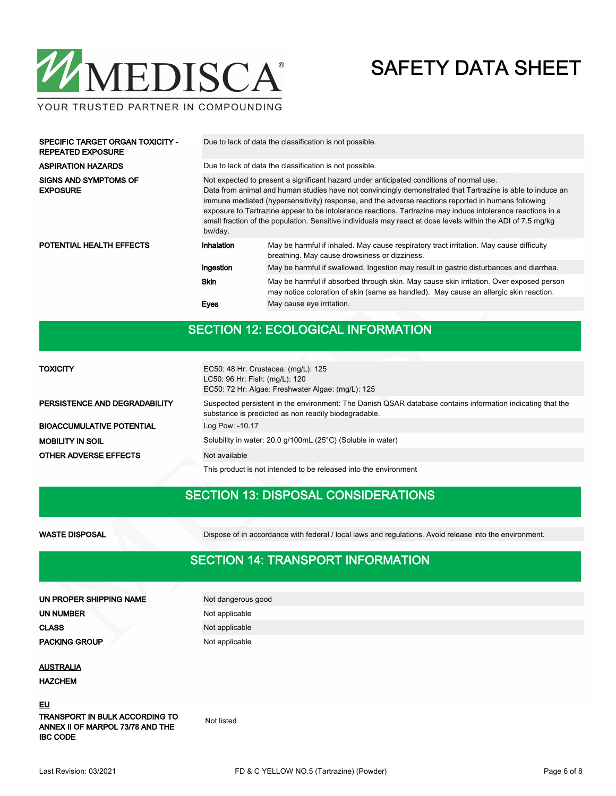# WMEDISCA®

# SAFETY DATA SHEET

YOUR TRUSTED PARTNER IN COMPOUNDING

| <b>ASPIRATION HAZARDS</b><br>Due to lack of data the classification is not possible.<br>Not expected to present a significant hazard under anticipated conditions of normal use.<br>SIGNS AND SYMPTOMS OF<br><b>EXPOSURE</b><br>Data from animal and human studies have not convincingly demonstrated that Tartrazine is able to induce an<br>immune mediated (hypersensitivity) response, and the adverse reactions reported in humans following<br>exposure to Tartrazine appear to be intolerance reactions. Tartrazine may induce intolerance reactions in a<br>small fraction of the population. Sensitive individuals may react at dose levels within the ADI of 7.5 mg/kg<br>bw/day.<br>POTENTIAL HEALTH EFFECTS<br>Inhalation<br>May be harmful if inhaled. May cause respiratory tract irritation. May cause difficulty<br>breathing. May cause drowsiness or dizziness.<br>May be harmful if swallowed. Ingestion may result in gastric disturbances and diarrhea.<br>Ingestion<br><b>Skin</b><br>May be harmful if absorbed through skin. May cause skin irritation. Over exposed person<br>may notice coloration of skin (same as handled). May cause an allergic skin reaction.<br>May cause eye irritation.<br>Eyes | SPECIFIC TARGET ORGAN TOXICITY -<br><b>REPEATED EXPOSURE</b> | Due to lack of data the classification is not possible. |  |  |  |  |  |  |
|-----------------------------------------------------------------------------------------------------------------------------------------------------------------------------------------------------------------------------------------------------------------------------------------------------------------------------------------------------------------------------------------------------------------------------------------------------------------------------------------------------------------------------------------------------------------------------------------------------------------------------------------------------------------------------------------------------------------------------------------------------------------------------------------------------------------------------------------------------------------------------------------------------------------------------------------------------------------------------------------------------------------------------------------------------------------------------------------------------------------------------------------------------------------------------------------------------------------------------------|--------------------------------------------------------------|---------------------------------------------------------|--|--|--|--|--|--|
|                                                                                                                                                                                                                                                                                                                                                                                                                                                                                                                                                                                                                                                                                                                                                                                                                                                                                                                                                                                                                                                                                                                                                                                                                                   |                                                              |                                                         |  |  |  |  |  |  |
|                                                                                                                                                                                                                                                                                                                                                                                                                                                                                                                                                                                                                                                                                                                                                                                                                                                                                                                                                                                                                                                                                                                                                                                                                                   |                                                              |                                                         |  |  |  |  |  |  |
|                                                                                                                                                                                                                                                                                                                                                                                                                                                                                                                                                                                                                                                                                                                                                                                                                                                                                                                                                                                                                                                                                                                                                                                                                                   |                                                              |                                                         |  |  |  |  |  |  |
|                                                                                                                                                                                                                                                                                                                                                                                                                                                                                                                                                                                                                                                                                                                                                                                                                                                                                                                                                                                                                                                                                                                                                                                                                                   |                                                              |                                                         |  |  |  |  |  |  |
|                                                                                                                                                                                                                                                                                                                                                                                                                                                                                                                                                                                                                                                                                                                                                                                                                                                                                                                                                                                                                                                                                                                                                                                                                                   |                                                              |                                                         |  |  |  |  |  |  |
|                                                                                                                                                                                                                                                                                                                                                                                                                                                                                                                                                                                                                                                                                                                                                                                                                                                                                                                                                                                                                                                                                                                                                                                                                                   |                                                              |                                                         |  |  |  |  |  |  |

## SECTION 12: ECOLOGICAL INFORMATION

| <b>TOXICITY</b>                  | EC50: 48 Hr: Crustacea: (mg/L): 125<br>LC50: 96 Hr: Fish: (mg/L): 120<br>EC50: 72 Hr: Algae: Freshwater Algae: (mg/L): 125                                         |  |  |  |  |  |
|----------------------------------|--------------------------------------------------------------------------------------------------------------------------------------------------------------------|--|--|--|--|--|
| PERSISTENCE AND DEGRADABILITY    | Suspected persistent in the environment: The Danish QSAR database contains information indicating that the<br>substance is predicted as non readily biodegradable. |  |  |  |  |  |
| <b>BIOACCUMULATIVE POTENTIAL</b> | Log Pow: -10.17                                                                                                                                                    |  |  |  |  |  |
| <b>MOBILITY IN SOIL</b>          | Solubility in water: 20.0 g/100mL (25°C) (Soluble in water)                                                                                                        |  |  |  |  |  |
| <b>OTHER ADVERSE EFFECTS</b>     | Not available                                                                                                                                                      |  |  |  |  |  |
|                                  | This product is not intended to be released into the environment                                                                                                   |  |  |  |  |  |

## SECTION 13: DISPOSAL CONSIDERATIONS

| <b>WASTE DISPOSAL</b> | Dispose of in accordance with federal / local laws and regulations. Avoid release into the environment. |
|-----------------------|---------------------------------------------------------------------------------------------------------|

## SECTION 14: TRANSPORT INFORMATION

| UN PROPER SHIPPING NAME | Not dangerous good |  |  |  |
|-------------------------|--------------------|--|--|--|
| UN NUMBER               | Not applicable     |  |  |  |
| <b>CLASS</b>            | Not applicable     |  |  |  |
| <b>PACKING GROUP</b>    | Not applicable     |  |  |  |
|                         |                    |  |  |  |

**AUSTRALIA** 

HAZCHEM

EU

TRANSPORT IN BULK ACCORDING TO ANNEX II OF MARPOL 73/78 AND THE IBC CODE

Not listed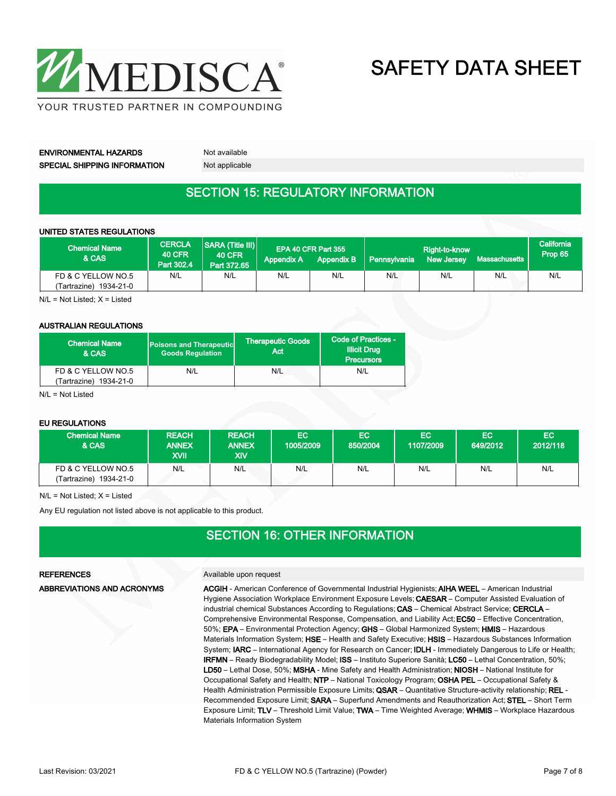

ENVIRONMENTAL HAZARDS Not available SPECIAL SHIPPING INFORMATION Not applicable

### SECTION 15: REGULATORY INFORMATION

### UNITED STATES REGULATIONS

| <b>Chemical Name</b><br>& CAS               | <b>CERCLA</b><br><b>40 CFR</b><br>Part 302.4 | <b>SARA (Title III)</b><br><b>40 CFR</b><br>Part 372.65 | <b>Appendix A</b> | EPA 40 CFR Part 355<br><b>Appendix B</b> | <b>Pennsylvania</b> | Right-to-know<br><b>New Jersey</b> | Massachusetts | California<br>Prop 65 |
|---------------------------------------------|----------------------------------------------|---------------------------------------------------------|-------------------|------------------------------------------|---------------------|------------------------------------|---------------|-----------------------|
| FD & C YELLOW NO.5<br>Tartrazine) 1934-21-0 | N/L                                          | N/L                                                     | N/L               | N/L                                      | N/L                 | N/L                                | N/L           | N/L                   |

N/L = Not Listed; X = Listed

### AUSTRALIAN REGULATIONS

| <b>Chemical Name</b><br>& CAS | <b>Poisons and Therapeutic</b><br><b>Goods Regulation</b> | <b>Therapeutic Goods</b><br>Act | Code of Practices -<br><b>Illicit Drug</b><br><b>Precursors</b> |  |
|-------------------------------|-----------------------------------------------------------|---------------------------------|-----------------------------------------------------------------|--|
| FD & C YELLOW NO.5            | N/L                                                       | N/L                             | N/L                                                             |  |
| (Tartrazine) 1934-21-0        |                                                           |                                 |                                                                 |  |

 $N/I = N$ ot Listed

### EU REGULATIONS

| <b>Chemical Name</b><br>& CAS                   | <b>REACH</b><br><b>ANNEX</b><br>XVII | <b>REACH</b><br><b>ANNEX</b><br>XIV | EC.<br>1005/2009 | EC.<br>850/2004 | EC.<br>1107/2009 | EC<br>649/2012 | EC<br>2012/118 |
|-------------------------------------------------|--------------------------------------|-------------------------------------|------------------|-----------------|------------------|----------------|----------------|
| FD & C YELLOW NO.5<br>1934-21-0<br>(Tartrazine) | N/L                                  | N/L                                 | N/L              | N/L             | N/L              | N/L            | N/L            |

 $N/L = Not$  Listed;  $X =$  Listed

Any EU regulation not listed above is not applicable to this product.

### SECTION 16: OTHER INFORMATION

ABBREVIATIONS AND ACRONYMS

### REFERENCES Available upon request

ACGIH - American Conference of Governmental Industrial Hygienists; AIHA WEEL – American Industrial Hygiene Association Workplace Environment Exposure Levels; CAESAR - Computer Assisted Evaluation of industrial chemical Substances According to Regulations; CAS - Chemical Abstract Service; CERCLA -Comprehensive Environmental Response, Compensation, and Liability Act; EC50 – Effective Concentration, 50%; EPA – Environmental Protection Agency; GHS – Global Harmonized System; HMIS – Hazardous Materials Information System; HSE – Health and Safety Executive; HSIS – Hazardous Substances Information System; IARC – International Agency for Research on Cancer; IDLH - Immediately Dangerous to Life or Health; IRFMN – Ready Biodegradability Model; ISS – Instituto Superiore Sanità; LC50 – Lethal Concentration, 50%; LD50 – Lethal Dose, 50%; MSHA - Mine Safety and Health Administration; NIOSH – National Institute for Occupational Safety and Health; NTP – National Toxicology Program; OSHA PEL – Occupational Safety & Health Administration Permissible Exposure Limits; QSAR - Quantitative Structure-activity relationship; REL -Recommended Exposure Limit; SARA – Superfund Amendments and Reauthorization Act; STEL – Short Term Exposure Limit; TLV – Threshold Limit Value; TWA – Time Weighted Average; WHMIS – Workplace Hazardous Materials Information System